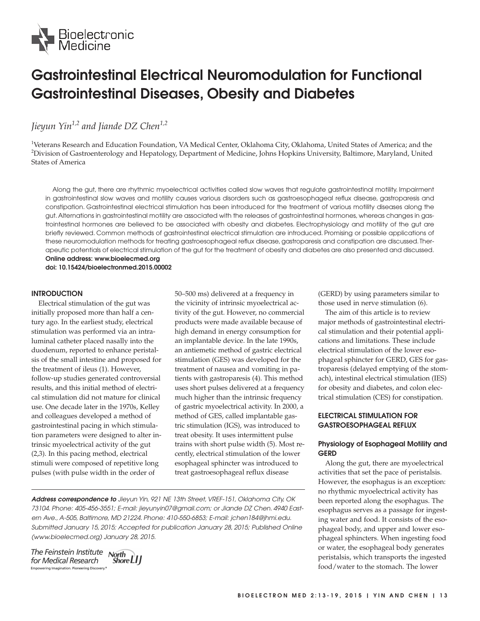

# **Gastrointestinal Electrical Neuromodulation for Functional Gastrointestinal Diseases, Obesity and Diabetes**

## *Jieyun Yin1,2 and Jiande DZ Chen1,2*

<sup>1</sup>Veterans Research and Education Foundation, VA Medical Center, Oklahoma City, Oklahoma, United States of America; and the  $^2$ Division of Gastroenterology and Hepatology, Department of Medicine, Johns Hopkins University, Baltimore, Maryland, United States of America

Along the gut, there are rhythmic myoelectrical activities called slow waves that regulate gastrointestinal motility. Impairment in gastrointestinal slow waves and motility causes various disorders such as gastroesophageal reflux disease, gastroparesis and constipation. Gastrointestinal electrical stimulation has been introduced for the treatment of various motility diseases along the gut. Alternations in gastrointestinal motility are associated with the releases of gastrointestinal hormones, whereas changes in gastrointestinal hormones are believed to be associated with obesity and diabetes. Electrophysiology and motility of the gut are briefly reviewed. Common methods of gastrointestinal electrical stimulation are introduced. Promising or possible applications of these neuromodulation methods for treating gastroesophageal reflux disease, gastroparesis and constipation are discussed. Therapeutic potentials of electrical stimulation of the gut for the treatment of obesity and diabetes are also presented and discussed. **Online address: www.bioelecmed.org**

**doi: 10.15424/bioelectronmed.2015.00002**

#### **INTRODUCTION**

Electrical stimulation of the gut was initially proposed more than half a century ago. In the earliest study, electrical stimulation was performed via an intraluminal catheter placed nasally into the duodenum, reported to enhance peristalsis of the small intestine and proposed for the treatment of ileus (1). However, follow-up studies generated controversial results, and this initial method of electrical stimulation did not mature for clinical use. One decade later in the 1970s, Kelley and colleagues developed a method of gastrointestinal pacing in which stimulation parameters were designed to alter intrinsic myoelectrical activity of the gut (2,3). In this pacing method, electrical stimuli were composed of repetitive long pulses (with pulse width in the order of

50–500 ms) delivered at a frequency in the vicinity of intrinsic myoelectrical activity of the gut. However, no commercial products were made available because of high demand in energy consumption for an implantable device. In the late 1990s, an antiemetic method of gastric electrical stimulation (GES) was developed for the treatment of nausea and vomiting in patients with gastroparesis (4). This method uses short pulses delivered at a frequency much higher than the intrinsic frequency of gastric myoelectrical activity. In 2000, a method of GES, called implantable gastric stimulation (IGS), was introduced to treat obesity. It uses intermittent pulse trains with short pulse width (5). Most recently, electrical stimulation of the lower esophageal sphincter was introduced to treat gastroesophageal reflux disease

**Address correspondence to** Jieyun Yin, 921 NE 13th Street, VREF-151, Oklahoma City, OK 73104. Phone: 405-456-3551; E-mail: jieyunyin07@gmail.com; or Jiande DZ Chen. 4940 Eastern Ave., A-505, Baltimore, MD 21224. Phone: 410-550-6853; E-mail: jchen184@jhmi.edu. Submitted January 15, 2015; Accepted for publication January 28, 2015; Published Online (www.bioelecmed.org) January 28, 2015.

The Feinstein Institute North for Medical Research Empowering Imagination. Pioneering Discovery.<sup>4</sup>



(GERD) by using parameters similar to those used in nerve stimulation (6).

The aim of this article is to review major methods of gastrointestinal electrical stimulation and their potential applications and limitations. These include electrical stimulation of the lower esophageal sphincter for GERD, GES for gastroparesis (delayed emptying of the stomach), intestinal electrical stimulation (IES) for obesity and diabetes, and colon electrical stimulation (CES) for constipation.

#### **ELECTRICAL STIMULATION FOR GASTROESOPHAGEAL REFLUX**

## **Physiology of Esophageal Motility and GERD**

Along the gut, there are myoelectrical activities that set the pace of peristalsis. However, the esophagus is an exception: no rhythmic myoelectrical activity has been reported along the esophagus. The esophagus serves as a passage for ingesting water and food. It consists of the esophageal body, and upper and lower esophageal sphincters. When ingesting food or water, the esophageal body generates peristalsis, which transports the ingested food/water to the stomach. The lower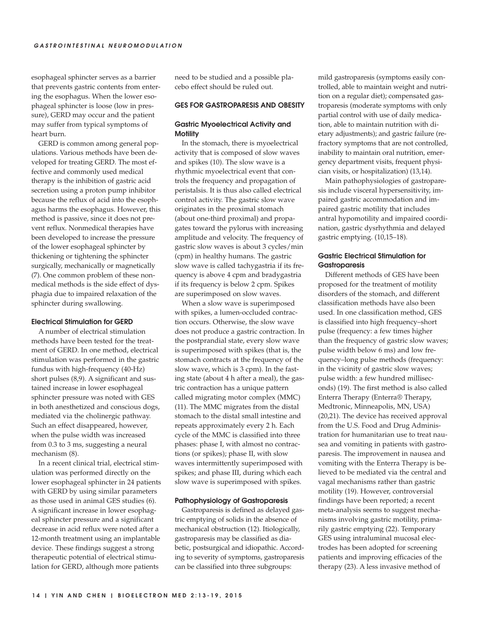esophageal sphincter serves as a barrier that prevents gastric contents from entering the esophagus. When the lower esophageal sphincter is loose (low in pressure), GERD may occur and the patient may suffer from typical symptoms of heart burn.

GERD is common among general populations. Various methods have been developed for treating GERD. The most effective and commonly used medical therapy is the inhibition of gastric acid secretion using a proton pump inhibitor because the reflux of acid into the esophagus harms the esophagus. However, this method is passive, since it does not prevent reflux. Nonmedical therapies have been developed to increase the pressure of the lower esophageal sphincter by thickening or tightening the sphincter surgically, mechanically or magnetically (7). One common problem of these nonmedical methods is the side effect of dysphagia due to impaired relaxation of the sphincter during swallowing.

#### **Electrical Stimulation for GERD**

A number of electrical stimulation methods have been tested for the treatment of GERD. In one method, electrical stimulation was performed in the gastric fundus with high-frequency (40-Hz) short pulses (8,9). A significant and sustained increase in lower esophageal sphincter pressure was noted with GES in both anesthetized and conscious dogs, mediated via the cholinergic pathway. Such an effect disappeared, however, when the pulse width was increased from 0.3 to 3 ms, suggesting a neural mechanism (8).

In a recent clinical trial, electrical stimulation was performed directly on the lower esophageal sphincter in 24 patients with GERD by using similar parameters as those used in animal GES studies (6). A significant increase in lower esophageal sphincter pressure and a significant decrease in acid reflux were noted after a 12-month treatment using an implantable device. These findings suggest a strong therapeutic potential of electrical stimulation for GERD, although more patients

need to be studied and a possible placebo effect should be ruled out.

#### **GES FOR GASTROPARESIS AND OBESITY**

#### **Gastric Myoelectrical Activity and Motility**

In the stomach, there is myoelectrical activity that is composed of slow waves and spikes (10). The slow wave is a rhythmic myoelectrical event that controls the frequency and propagation of peristalsis. It is thus also called electrical control activity. The gastric slow wave originates in the proximal stomach (about one-third proximal) and propagates toward the pylorus with increasing amplitude and velocity. The frequency of gastric slow waves is about 3 cycles/min (cpm) in healthy humans. The gastric slow wave is called tachygastria if its frequency is above 4 cpm and bradygastria if its frequency is below 2 cpm. Spikes are superimposed on slow waves.

When a slow wave is superimposed with spikes, a lumen-occluded contraction occurs. Otherwise, the slow wave does not produce a gastric contraction. In the postprandial state, every slow wave is superimposed with spikes (that is, the stomach contracts at the frequency of the slow wave, which is 3 cpm). In the fasting state (about 4 h after a meal), the gastric contraction has a unique pattern called migrating motor complex (MMC) (11). The MMC migrates from the distal stomach to the distal small intestine and repeats approximately every 2 h. Each cycle of the MMC is classified into three phases: phase I, with almost no contractions (or spikes); phase II, with slow waves intermittently superimposed with spikes; and phase III, during which each slow wave is superimposed with spikes.

#### **Pathophysiology of Gastroparesis**

Gastroparesis is defined as delayed gastric emptying of solids in the absence of mechanical obstruction (12). Itiologically, gastroparesis may be classified as diabetic, postsurgical and idiopathic. According to severity of symptoms, gastroparesis can be classified into three subgroups:

mild gastroparesis (symptoms easily controlled, able to maintain weight and nutrition on a regular diet); compensated gastroparesis (moderate symptoms with only partial control with use of daily medication, able to maintain nutrition with dietary adjustments); and gastric failure (refractory symptoms that are not controlled, inability to maintain oral nutrition, emergency department visits, frequent physician visits, or hospitalization) (13,14).

Main pathophysiologies of gastroparesis include visceral hypersensitivity, impaired gastric accommodation and impaired gastric motility that includes antral hypomotility and impaired coordination, gastric dysrhythmia and delayed gastric emptying. (10,15–18).

## **Gastric Electrical Stimulation for Gastroparesis**

Different methods of GES have been proposed for the treatment of motility disorders of the stomach, and different classification methods have also been used. In one classification method, GES is classified into high frequency–short pulse (frequency: a few times higher than the frequency of gastric slow waves; pulse width below 6 ms) and low frequency–long pulse methods (frequency: in the vicinity of gastric slow waves; pulse width: a few hundred milliseconds) (19). The first method is also called Enterra Therapy (Enterra® Therapy, Medtronic, Minneapolis, MN, USA) (20,21). The device has received approval from the U.S. Food and Drug Administration for humanitarian use to treat nausea and vomiting in patients with gastroparesis. The improvement in nausea and vomiting with the Enterra Therapy is believed to be mediated via the central and vagal mechanisms rather than gastric motility (19). However, controversial findings have been reported; a recent meta-analysis seems to suggest mechanisms involving gastric motility, primarily gastric emptying (22). Temporary GES using intraluminal mucosal electrodes has been adopted for screening patients and improving efficacies of the therapy (23). A less invasive method of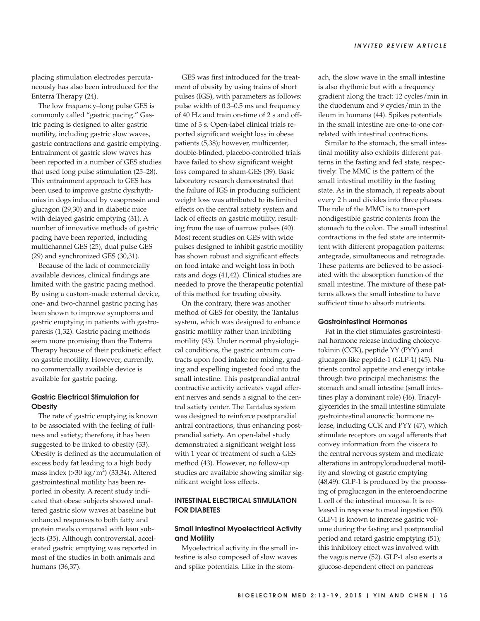placing stimulation electrodes percutaneously has also been introduced for the Enterra Therapy (24).

The low frequency–long pulse GES is commonly called "gastric pacing." Gastric pacing is designed to alter gastric motility, including gastric slow waves, gastric contractions and gastric emptying. Entrainment of gastric slow waves has been reported in a number of GES studies that used long pulse stimulation (25–28). This entrainment approach to GES has been used to improve gastric dysrhythmias in dogs induced by vasopressin and glucagon (29,30) and in diabetic mice with delayed gastric emptying (31). A number of innovative methods of gastric pacing have been reported, including multichannel GES (25), dual pulse GES (29) and synchronized GES (30,31).

Because of the lack of commercially available devices, clinical findings are limited with the gastric pacing method. By using a custom-made external device, one- and two-channel gastric pacing has been shown to improve symptoms and gastric emptying in patients with gastroparesis (1,32). Gastric pacing methods seem more promising than the Enterra Therapy because of their prokinetic effect on gastric motility. However, currently, no commercially available device is available for gastric pacing.

#### **Gastric Electrical Stimulation for Obesity**

The rate of gastric emptying is known to be associated with the feeling of fullness and satiety; therefore, it has been suggested to be linked to obesity (33). Obesity is defined as the accumulation of excess body fat leading to a high body mass index (> $30 \text{ kg/m}^2$ ) (33,34). Altered gastrointestinal motility has been reported in obesity. A recent study indicated that obese subjects showed unaltered gastric slow waves at baseline but enhanced responses to both fatty and protein meals compared with lean subjects (35). Although controversial, accelerated gastric emptying was reported in most of the studies in both animals and humans (36,37).

GES was first introduced for the treatment of obesity by using trains of short pulses (IGS), with parameters as follows: pulse width of 0.3–0.5 ms and frequency of 40 Hz and train on-time of 2 s and offtime of 3 s. Open-label clinical trials reported significant weight loss in obese patients (5,38); however, multicenter, double-blinded, placebo-controlled trials have failed to show significant weight loss compared to sham-GES (39). Basic laboratory research demonstrated that the failure of IGS in producing sufficient weight loss was attributed to its limited effects on the central satiety system and lack of effects on gastric motility, resulting from the use of narrow pulses (40). Most recent studies on GES with wide pulses designed to inhibit gastric motility has shown robust and significant effects on food intake and weight loss in both rats and dogs (41,42). Clinical studies are needed to prove the therapeutic potential of this method for treating obesity.

On the contrary, there was another method of GES for obesity, the Tantalus system, which was designed to enhance gastric motility rather than inhibiting motility (43). Under normal physiological conditions, the gastric antrum contracts upon food intake for mixing, grading and expelling ingested food into the small intestine. This postprandial antral contractive activity activates vagal afferent nerves and sends a signal to the central satiety center. The Tantalus system was designed to reinforce postprandial antral contractions, thus enhancing postprandial satiety. An open-label study demonstrated a significant weight loss with 1 year of treatment of such a GES method (43). However, no follow-up studies are available showing similar significant weight loss effects.

#### **INTESTINAL ELECTRICAL STIMULATION FOR DIABETES**

## **Small Intestinal Myoelectrical Activity and Motility**

Myoelectrical activity in the small intestine is also composed of slow waves and spike potentials. Like in the stomach, the slow wave in the small intestine is also rhythmic but with a frequency gradient along the tract: 12 cycles/min in the duodenum and 9 cycles/min in the ileum in humans (44). Spikes potentials in the small intestine are one-to-one correlated with intestinal contractions.

Similar to the stomach, the small intestinal motility also exhibits different patterns in the fasting and fed state, respectively. The MMC is the pattern of the small intestinal motility in the fasting state. As in the stomach, it repeats about every 2 h and divides into three phases. The role of the MMC is to transport nondigestible gastric contents from the stomach to the colon. The small intestinal contractions in the fed state are intermittent with different propagation patterns: antegrade, simultaneous and retrograde. These patterns are believed to be associated with the absorption function of the small intestine. The mixture of these patterns allows the small intestine to have sufficient time to absorb nutrients.

#### **Gastrointestinal Hormones**

Fat in the diet stimulates gastrointestinal hormone release including cholecyctokinin (CCK), peptide YY (PYY) and glucagon-like peptide-1 (GLP-1) (45). Nutrients control appetite and energy intake through two principal mechanisms: the stomach and small intestine (small intestines play a dominant role) (46). Triacylglycerides in the small intestine stimulate gastrointestinal anorectic hormone release, including CCK and PYY (47), which stimulate receptors on vagal afferents that convey information from the viscera to the central nervous system and medicate alterations in antropyloroduodenal motility and slowing of gastric emptying (48,49). GLP-1 is produced by the processing of proglucagon in the enteroendocrine L cell of the intestinal mucosa. It is released in response to meal ingestion (50). GLP-1 is known to increase gastric volume during the fasting and postprandial period and retard gastric emptying (51); this inhibitory effect was involved with the vagus nerve (52). GLP-1 also exerts a glucose-dependent effect on pancreas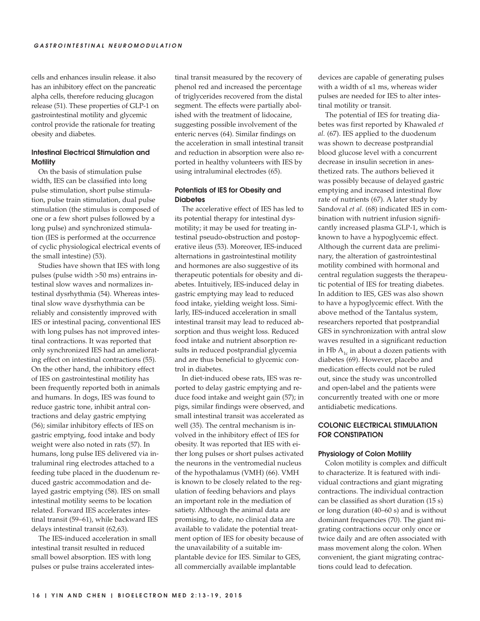cells and enhances insulin release. it also has an inhibitory effect on the pancreatic alpha cells, therefore reducing glucagon release (51). These properties of GLP-1 on gastrointestinal motility and glycemic control provide the rationale for treating obesity and diabetes.

## **Intestinal Electrical Stimulation and Motility**

On the basis of stimulation pulse width, IES can be classified into long pulse stimulation, short pulse stimulation, pulse train stimulation, dual pulse stimulation (the stimulus is composed of one or a few short pulses followed by a long pulse) and synchronized stimulation (IES is performed at the occurrence of cyclic physiological electrical events of the small intestine) (53).

Studies have shown that IES with long pulses (pulse width >50 ms) entrains intestinal slow waves and normalizes intestinal dysrhythmia (54). Whereas intestinal slow wave dysrhythmia can be reliably and consistently improved with IES or intestinal pacing, conventional IES with long pulses has not improved intestinal contractions. It was reported that only synchronized IES had an ameliorating effect on intestinal contractions (55). On the other hand, the inhibitory effect of IES on gastrointestinal motility has been frequently reported both in animals and humans. In dogs, IES was found to reduce gastric tone, inhibit antral contractions and delay gastric emptying (56); similar inhibitory effects of IES on gastric emptying, food intake and body weight were also noted in rats (57). In humans, long pulse IES delivered via intraluminal ring electrodes attached to a feeding tube placed in the duodenum reduced gastric accommodation and delayed gastric emptying (58). IES on small intestinal motility seems to be location related. Forward IES accelerates intestinal transit (59–61), while backward IES delays intestinal transit (62,63).

The IES-induced acceleration in small intestinal transit resulted in reduced small bowel absorption. IES with long pulses or pulse trains accelerated intestinal transit measured by the recovery of phenol red and increased the percentage of triglycerides recovered from the distal segment. The effects were partially abolished with the treatment of lidocaine, suggesting possible involvement of the enteric nerves (64). Similar findings on the acceleration in small intestinal transit and reduction in absorption were also reported in healthy volunteers with IES by using intraluminal electrodes (65).

## **Potentials of IES for Obesity and Diabetes**

The accelerative effect of IES has led to its potential therapy for intestinal dysmotility; it may be used for treating intestinal pseudo-obstruction and postoperative ileus (53). Moreover, IES-induced alternations in gastrointestinal motility and hormones are also suggestive of its therapeutic potentials for obesity and diabetes. Intuitively, IES-induced delay in gastric emptying may lead to reduced food intake, yielding weight loss. Similarly, IES-induced acceleration in small intestinal transit may lead to reduced absorption and thus weight loss. Reduced food intake and nutrient absorption results in reduced postprandial glycemia and are thus beneficial to glycemic control in diabetes.

In diet-induced obese rats, IES was reported to delay gastric emptying and reduce food intake and weight gain (57); in pigs, similar findings were observed, and small intestinal transit was accelerated as well (35). The central mechanism is involved in the inhibitory effect of IES for obesity. It was reported that IES with either long pulses or short pulses activated the neurons in the ventromedial nucleus of the hypothalamus (VMH) (66). VMH is known to be closely related to the regulation of feeding behaviors and plays an important role in the mediation of satiety. Although the animal data are promising, to date, no clinical data are available to validate the potential treatment option of IES for obesity because of the unavailability of a suitable implantable device for IES. Similar to GES, all commercially available implantable

devices are capable of generating pulses with a width of ≤1 ms, whereas wider pulses are needed for IES to alter intestinal motility or transit.

The potential of IES for treating diabetes was first reported by Khawaled *et al.* (67). IES applied to the duodenum was shown to decrease postprandial blood glucose level with a concurrent decrease in insulin secretion in anesthetized rats. The authors believed it was possibly because of delayed gastric emptying and increased intestinal flow rate of nutrients (67). A later study by Sandoval *et al.* (68) indicated IES in combination with nutrient infusion significantly increased plasma GLP-1, which is known to have a hypoglycemic effect. Although the current data are preliminary, the alteration of gastrointestinal motility combined with hormonal and central regulation suggests the therapeutic potential of IES for treating diabetes. In addition to IES, GES was also shown to have a hypoglycemic effect. With the above method of the Tantalus system, researchers reported that postprandial GES in synchronization with antral slow waves resulted in a significant reduction in Hb  $A<sub>1c</sub>$  in about a dozen patients with diabetes (69). However, placebo and medication effects could not be ruled out, since the study was uncontrolled and open-label and the patients were concurrently treated with one or more antidiabetic medications.

## **COLONIC ELECTRICAL STIMULATION FOR CONSTIPATION**

#### **Physiology of Colon Motility**

Colon motility is complex and difficult to characterize. It is featured with individual contractions and giant migrating contractions. The individual contraction can be classified as short duration (15 s) or long duration (40–60 s) and is without dominant frequencies (70). The giant migrating contractions occur only once or twice daily and are often associated with mass movement along the colon. When convenient, the giant migrating contractions could lead to defecation.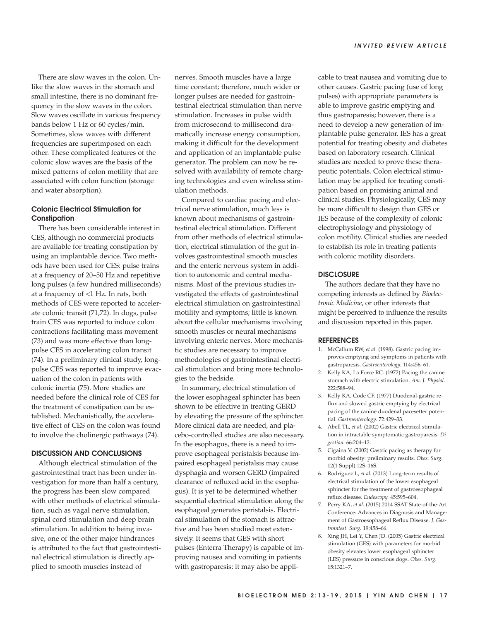There are slow waves in the colon. Unlike the slow waves in the stomach and small intestine, there is no dominant frequency in the slow waves in the colon. Slow waves oscillate in various frequency bands below 1 Hz or 60 cycles/min. Sometimes, slow waves with different frequencies are superimposed on each other. These complicated features of the colonic slow waves are the basis of the mixed patterns of colon motility that are associated with colon function (storage and water absorption).

## **Colonic Electrical Stimulation for Constipation**

There has been considerable interest in CES, although no commercial products are available for treating constipation by using an implantable device. Two methods have been used for CES: pulse trains at a frequency of 20–50 Hz and repetitive long pulses (a few hundred milliseconds) at a frequency of <1 Hz. In rats, both methods of CES were reported to accelerate colonic transit (71,72). In dogs, pulse train CES was reported to induce colon contractions facilitating mass movement (73) and was more effective than longpulse CES in accelerating colon transit (74). In a preliminary clinical study, longpulse CES was reported to improve evacuation of the colon in patients with colonic inertia (75). More studies are needed before the clinical role of CES for the treatment of constipation can be established. Mechanistically, the accelerative effect of CES on the colon was found to involve the cholinergic pathways (74).

## **DISCUSSION AND CONCLUSIONS**

Although electrical stimulation of the gastrointestinal tract has been under investigation for more than half a century, the progress has been slow compared with other methods of electrical stimulation, such as vagal nerve stimulation, spinal cord stimulation and deep brain stimulation. In addition to being invasive, one of the other major hindrances is attributed to the fact that gastrointestinal electrical stimulation is directly applied to smooth muscles instead of

nerves. Smooth muscles have a large time constant; therefore, much wider or longer pulses are needed for gastrointestinal electrical stimulation than nerve stimulation. Increases in pulse width from microsecond to millisecond dramatically increase energy consumption, making it difficult for the development and application of an implantable pulse generator. The problem can now be resolved with availability of remote charging technologies and even wireless stimulation methods.

Compared to cardiac pacing and electrical nerve stimulation, much less is known about mechanisms of gastrointestinal electrical stimulation. Different from other methods of electrical stimulation, electrical stimulation of the gut involves gastrointestinal smooth muscles and the enteric nervous system in addition to autonomic and central mechanisms. Most of the previous studies investigated the effects of gastrointestinal electrical stimulation on gastrointestinal motility and symptoms; little is known about the cellular mechanisms involving smooth muscles or neural mechanisms involving enteric nerves. More mechanistic studies are necessary to improve methodologies of gastrointestinal electrical stimulation and bring more technologies to the bedside.

In summary, electrical stimulation of the lower esophageal sphincter has been shown to be effective in treating GERD by elevating the pressure of the sphincter. More clinical data are needed, and placebo-controlled studies are also necessary. In the esophagus, there is a need to improve esophageal peristalsis because impaired esophageal peristalsis may cause dysphagia and worsen GERD (impaired clearance of refluxed acid in the esophagus). It is yet to be determined whether sequential electrical stimulation along the esophageal generates peristalsis. Electrical stimulation of the stomach is attractive and has been studied most extensively. It seems that GES with short pulses (Enterra Therapy) is capable of improving nausea and vomiting in patients with gastroparesis; it may also be applicable to treat nausea and vomiting due to other causes. Gastric pacing (use of long pulses) with appropriate parameters is able to improve gastric emptying and thus gastroparesis; however, there is a need to develop a new generation of implantable pulse generator. IES has a great potential for treating obesity and diabetes based on laboratory research. Clinical studies are needed to prove these therapeutic potentials. Colon electrical stimulation may be applied for treating constipation based on promising animal and clinical studies. Physiologically, CES may be more difficult to design than GES or IES because of the complexity of colonic electrophysiology and physiology of colon motility. Clinical studies are needed to establish its role in treating patients with colonic motility disorders.

#### **DISCLOSURE**

The authors declare that they have no competing interests as defined by *Bioelectronic Medicine*, or other interests that might be perceived to influence the results and discussion reported in this paper.

#### **REFERENCES**

- 1. McCallum RW, *et al.* (1998). Gastric pacing improves emptying and symptoms in patients with gastroparesis. *Gastroenterology.* 114:456–61.
- 2. Kelly KA, La Force RC. (1972) Pacing the canine stomach with electric stimulation. *Am. J. Physiol.* 222:588–94.
- 3. Kelly KA, Code CF. (1977) Duodenal-gastric reflux and slowed gastric emptying by electrical pacing of the canine duodenal pacesetter potential. *Gastroenterology.* 72:429–33.
- 4. Abell TL, *et al.* (2002) Gastric electrical stimulation in intractable symptomatic gastroparesis. *Digestion.* 66:204–12.
- 5. Cigaina V. (2002) Gastric pacing as therapy for morbid obesity: preliminary results. *Obes. Surg.* 12(1 Suppl):12S–16S.
- 6. Rodríguez L, *et al.* (2013) Long-term results of electrical stimulation of the lower esophageal sphincter for the treatment of gastroesophageal reflux disease. *Endoscopy.* 45:595–604.
- 7. Perry KA, *et al.* (2015) 2014 SSAT State-of-the-Art Conference: Advances in Diagnosis and Management of Gastroesophageal Reflux Disease. *J. Gastrointest. Surg.* 19:458–66.
- 8. Xing JH, Lei Y, Chen JD. (2005) Gastric electrical stimulation (GES) with parameters for morbid obesity elevates lower esophageal sphincter (LES) pressure in conscious dogs. *Obes. Surg.* 15:1321–7.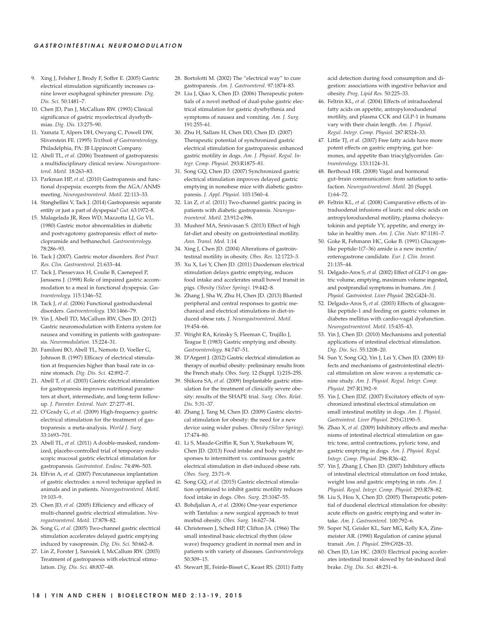- 9. Xing J, Felsher J, Brody F, Soffer E. (2005) Gastric electrical stimulation significantly increases canine lower esophageal sphincter pressure. *Dig. Dis. Sci.* 50:1481–7.
- 10. Chen JD, Pan J, McCallum RW. (1993) Clinical significance of gastric myoelectrical dysrhythmias. *Dig. Dis.* 13:275–90.
- 11. Yamata T, Alpers DH, Owyang C, Powell DW, Sliverstein FE. (1995) *Textbook of Gastroenterology.* Philadelphia, PA: JB Lippincott Company.
- 12. Abell TL, *et al.* (2006) Treatment of gastroparesis: a multidisciplinary clinical review. *Neurogastroenterol. Motil.* 18:263–83.
- 13. Parkman HP, *et al.* (2010) Gastroparesis and functional dyspepsia: excerpts from the AGA/ANMS meeting. *Neurogastroenterol. Motil.* 22:113–33.
- 14. Stanghellini V, Tack J. (2014) Gastroparesis: separate entity or just a part of dyspepsia? *Gut.* 63:1972–8.
- 15. Malagelada JR, Rees WD, Mazzotta LJ, Go VL. (1980) Gastric motor abnormalities in diabetic and postvagotomy gastroparesis: effect of metoclopramide and bethanechol. *Gastroenterology.* 78:286–93.
- 16. Tack J (2007). Gastric motor disorders. *Best Pract. Res. Clin. Gastroenterol.* 21:633–44.
- 17. Tack J, Piessevaux H, Coulie B, Caenepeel P, Janssens J. (1998) Role of impaired gastric accommodation to a meal in functional dyspepsia. *Gastroenterology.* 115:1346–52.
- 18. Tack J, *et al.* (2006) Functional gastroduodenal disorders. *Gastroenterology.* 130:1466–79.
- 19. Yin J, Abell TD, McCallum RW, Chen JD. (2012) Gastric neuromodulation with Enterra system for nausea and vomiting in patients with gastroparesis. *Neuromodulation.* 15:224–31.
- 20. Familoni BO, Abell TL, Nemoto D, Voeller G, Johnson B. (1997) Efficacy of electrical stimulation at frequencies higher than basal rate in canine stomach. *Dig. Dis. Sci.* 42:892–7.
- 21. Abell T, *et al.* (2003) Gastric electrical stimulation for gastroparesis improves nutritional parameters at short, intermediate, and long-term followup. *J. Parenter. Enteral. Nutr.* 27:277–81.
- 22. O'Grady G, *et al.* (2009) High-frequency gastric electrical stimulation for the treatment of gastroparesis: a meta-analysis. *World J. Surg.* 33:1693–701.
- 23. Abell TL, *et al.* (2011) A double-masked, randomized, placebo-controlled trial of temporary endoscopic mucosal gastric electrical stimulation for gastroparesis. *Gastrointest. Endosc.* 74:496–503.
- 24. Elfvin A, *et al.* (2007) Percutaneous implantation of gastric electrodes: a novel technique applied in animals and in patients. *Neurogastroenterol. Motil.* 19:103–9.
- 25. Chen JD, *et al.* (2005) Efficiency and efficacy of multi-channel gastric electrical stimulation. *Neurogastroenterol. Motil.* 17:878–82.
- 26. Song G, *et al.* (2005) Two-channel gastric electrical stimulation accelerates delayed gastric emptying induced by vasopressin. *Dig. Dis. Sci.* 50:662–8.
- 27. Lin Z, Forster J, Sarosiek I, McCallum RW. (2003) Treatment of gastroparesis with electrical stimulation. *Dig. Dis. Sci.* 48:837–48.
- 28. Bortolotti M. (2002) The "electrical way" to cure gastroparesis. *Am. J. Gastroenterol.* 97:1874–83.
- 29. Liu J, Qiao X, Chen JD. (2006) Therapeutic potentials of a novel method of dual-pulse gastric electrical stimulation for gastric dysrhythmia and symptoms of nausea and vomiting. *Am. J. Surg.* 191:255–61.
- 30. Zhu H, Sallam H, Chen DD, Chen JD. (2007) Therapeutic potential of synchronized gastric electrical stimulation for gastroparesis: enhanced gastric motility in dogs. *Am. J. Physiol. Regul. Integr. Comp. Physiol.* 293:R1875–81.
- 31. Song GQ, Chen JD. (2007) Synchronized gastric electrical stimulation improves delayed gastric emptying in nonobese mice with diabetic gastroparesis. *J. Appl. Physiol.* 103:1560–4.
- 32. Lin Z, *et al.* (2011) Two-channel gastric pacing in patients with diabetic gastroparesis. *Neurogastroenterol. Motil.* 23:912-e396.
- 33. Mushref MA, Srinivasan S. (2013) Effect of high fat-diet and obesity on gastrointestinal motility. *Ann. Transl. Med.* 1:14
- 34. Xing J, Chen JD. (2004) Alterations of gastrointestinal motility in obesity. *Obes. Res.* 12:1723–3.
- 35. Xu X, Lei Y, Chen JD. (2011) Duodenum electrical stimulation delays gastric emptying, reduces food intake and accelerates small bowel transit in pigs. *Obesity (Silver Spring).* 19:442–8.
- 36. Zhang J, Sha W, Zhu H, Chen JD. (2013) Blunted peripheral and central responses to gastric mechanical and electrical stimulations in diet-induced obese rats. *J. Neurogastroenterol. Motil.* 19:454–66.
- 37. Wright RA, Krinsky S, Fleeman C, Trujillo J, Teague E (1983) Gastric emptying and obesity. *Gastroenterology.* 84:747–51.
- 38. D'Argent J. (2012) Gastric electrical stimulation as therapy of morbid obesity: preliminary results from the French study. *Obes. Surg.* 12 (Suppl. 1):21S–25S.
- 39. Shikora SA, *et al.* (2009) Implantable gastric stimulation for the treatment of clinically severe obesity: results of the SHAPE trial. *Surg. Obes. Relat. Dis*. 5:31–37.
- 40. Zhang J, Tang M, Chen JD. (2009) Gastric electrical stimulation for obesity: the need for a new device using wider pulses. *Obesity (Silver Spring).* 17:474–80.
- 41. Li S, Maude-Griffin R, Sun Y, Starkebaum W, Chen JD. (2013) Food intake and body weight responses to intermittent vs. continuous gastric electrical stimulation in diet-induced obese rats. *Obes. Surg.* 23:71–9.
- 42. Song GQ, *et al.* (2015) Gastric electrical stimulation optimized to inhibit gastric motility reduces food intake in dogs. *Obes. Surg.* 25:1047–55.
- 43. Bohdjalian A, *et al.* (2006) One-year experience with Tantalus: a new surgical approach to treat morbid obesity. *Obes. Surg.* 16:627–34.
- 44. Christensen J, Schedl HP, Clifton JA. (1966) The small intestinal basic electrical rhythm (slow wave) frequency gradient in normal men and in patients with variety of diseases. *Gastroenterology.* 50:309–15.
- 45. Stewart JE, Feinle-Bisset C, Keast RS. (2011) Fatty

acid detection during food consumption and digestion: associations with ingestive behavior and obesity. *Prog. Lipid Res.* 50:225–33.

- 46. Feltrin KL, *et al.* (2004) Effects of intraduodenal fatty acids on appetite, antropyloroduodenal motility, and plasma CCK and GLP-1 in humans vary with their chain length. *Am. J. Physiol. Regul. Integr. Comp. Physiol.* 287:R524–33.
- 47. Little TJ, *et al.* (2007) Free fatty acids have more potent effects on gastric emptying, gut hormones, and appetite than triacylglycerides. *Gastroenterology.* 133:1124–31.
- 48. Berthoud HR. (2008) Vagal and hormonal gut–brain communication: from satiation to satisfaction. *Neurogastroenterol. Motil.* 20 (Suppl. 1):64–72.
- 49. Feltrin KL, *et al.* (2008) Comparative effects of intraduodenal infusions of lauric and oleic acids on antropyloroduodenal motility, plasma cholecystokinin and peptide YY, appetite, and energy intake in healthy men. *Am. J. Clin. Nutr.* 87:1181–7.
- 50. Goke R, Fehmann HC, Goke B. (1991) Glucagonlike peptide-1(7–36) amide is a new incretin/ enterogastrone candidate. *Eur. J. Clin. Invest.* 21:135–44.
- 51. Delgado-Aros S, *et al.* (2002) Effect of GLP-1 on gastric volume, emptying, maximum volume ingested, and postprandial symptoms in humans. *Am. J. Physiol. Gastrointest. Liver Physiol.* 282:G424–31.
- 52. Delgado-Aros S, *et al.* (2003) Effects of glucagonlike peptide-1 and feeding on gastric volumes in diabetes mellitus with cardio-vagal dysfunction. *Neurogastroenterol. Motil.* 15:435–43.
- 53. Yin J, Chen JD. (2010) Mechanisms and potential applications of intestinal electrical stimulation. *Dig. Dis. Sci.* 55:1208–20.
- 54. Sun Y, Song GQ, Yin J, Lei Y, Chen JD. (2009) Effects and mechanisms of gastrointestinal electrical stimulation on slow waves: a systematic canine study. *Am. J. Physiol. Regul. Integr. Comp. Physiol.* 297:R1392–9.
- 55. Yin J, Chen JDZ. (2007) Excitatory effects of synchronized intestinal electrical stimulation on small intestinal motility in dogs. *Am. J. Physiol. Gastrointest. Liver Physiol.* 293:G1190–5.
- 56. Zhao X, *et al.* (2009) Inhibitory effects and mechanisms of intestinal electrical stimulation on gastric tone, antral contractions, pyloric tone, and gastric emptying in dogs. *Am. J. Physiol. Regul. Integr. Comp. Physiol.* 296:R36–42.
- 57. Yin J, Zhang J, Chen JD. (2007) Inhibitory effects of intestinal electrical stimulation on food intake, weight loss and gastric emptying in rats. *Am. J. Physiol. Regul. Integr. Comp. Physiol.* 293:R78–82.
- 58. Liu S, Hou X, Chen JD. (2005) Therapeutic potential of duodenal electrical stimulation for obesity: acute effects on gastric emptying and water intake. *Am. J. Gastroenterol.* 100:792–6.
- 59. Soper NJ, Geisler KL, Sarr MG, Kelly KA, Zinsmeister AR. (1990) Regulation of canine jejunal transit. *Am. J. Physiol.* 259:G928–33.
- 60. Chen JD, Lin HC. (2003) Electrical pacing accelerates intestinal transit slowed by fat-induced ileal brake. *Dig. Dis. Sci.* 48:251–6.